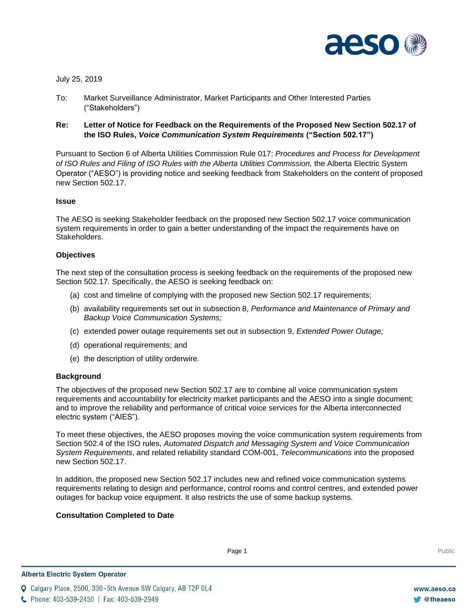

July 25, 2019

- To: Market Surveillance Administrator, Market Participants and Other Interested Parties ("Stakeholders")
- **Re: Letter of Notice for Feedback on the Requirements of the Proposed New Section 502.17 of the ISO Rules,** *Voice Communication System Requirements* **("Section 502.17")**

Pursuant to Section 6 of Alberta Utilities Commission Rule 017: *Procedures and Process for Development of ISO Rules and Filing of ISO Rules with the Alberta Utilities Commission,* the Alberta Electric System Operator ("AESO") is providing notice and seeking feedback from Stakeholders on the content of proposed new Section 502.17.

## **Issue**

The AESO is seeking Stakeholder feedback on the proposed new Section 502.17 voice communication system requirements in order to gain a better understanding of the impact the requirements have on Stakeholders.

## **Objectives**

The next step of the consultation process is seeking feedback on the requirements of the proposed new Section 502.17. Specifically, the AESO is seeking feedback on:

- (a) cost and timeline of complying with the proposed new Section 502.17 requirements;
- (b) availability requirements set out in subsection 8, *Performance and Maintenance of Primary and Backup Voice Communication Systems;*
- (c) extended power outage requirements set out in subsection 9, *Extended Power Outage;*
- (d) operational requirements; and
- (e) the description of utility orderwire.

#### **Background**

The objectives of the proposed new Section 502.17 are to combine all voice communication system requirements and accountability for electricity market participants and the AESO into a single document; and to improve the reliability and performance of critical voice services for the Alberta interconnected electric system ("AIES").

To meet these objectives, the AESO proposes moving the voice communication system requirements from Section 502.4 of the ISO rules, *Automated Dispatch and Messaging System and Voice Communication System Requirements*, and related reliability standard COM-001, *Telecommunications* into the proposed new Section 502.17.

In addition, the proposed new Section 502.17 includes new and refined voice communication systems requirements relating to design and performance, control rooms and control centres, and extended power outages for backup voice equipment. It also restricts the use of some backup systems.

# **Consultation Completed to Date**

Page 1 Public Page 1 Public Public Public Public Public Public Public Public Public Public Public Public Public Public Public Public Public Public Public Public Public Public Public Public Public Public Public Public Publi

**Q** Calgary Place, 2500, 330-5th Avenue SW Calgary, AB T2P 0L4